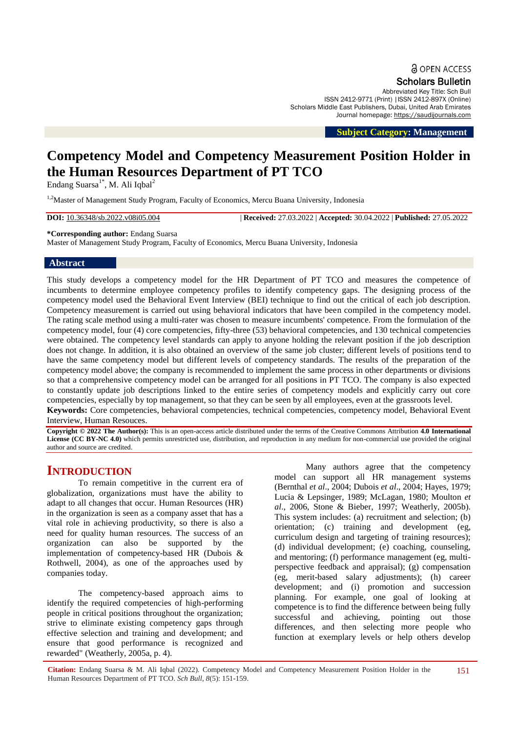**a** OPEN ACCESS

Scholars Bulletin

Abbreviated Key Title: Sch Bull ISSN 2412-9771 (Print) |ISSN 2412-897X (Online) Scholars Middle East Publishers, Dubai, United Arab Emirates Journal homepage: [https://saudijournals.com](https://saudijournals.com/sb)

 **Subject Category: Management**

# **Competency Model and Competency Measurement Position Holder in the Human Resources Department of PT TCO**

Endang Suarsa $1^*$ , M. Ali Iqbal<sup>2</sup>

<sup>1,2</sup>Master of Management Study Program, Faculty of Economics, Mercu Buana University, Indonesia

**DOI:** 10.36348/sb.2022.v08i05.004 | **Received:** 27.03.2022 | **Accepted:** 30.04.2022 | **Published:** 27.05.2022

**\*Corresponding author:** Endang Suarsa

Master of Management Study Program, Faculty of Economics, Mercu Buana University, Indonesia

# **Abstract**

This study develops a competency model for the HR Department of PT TCO and measures the competence of incumbents to determine employee competency profiles to identify competency gaps. The designing process of the competency model used the Behavioral Event Interview (BEI) technique to find out the critical of each job description. Competency measurement is carried out using behavioral indicators that have been compiled in the competency model. The rating scale method using a multi-rater was chosen to measure incumbents' competence. From the formulation of the competency model, four (4) core competencies, fifty-three (53) behavioral competencies, and 130 technical competencies were obtained. The competency level standards can apply to anyone holding the relevant position if the job description does not change. In addition, it is also obtained an overview of the same job cluster; different levels of positions tend to have the same competency model but different levels of competency standards. The results of the preparation of the competency model above; the company is recommended to implement the same process in other departments or divisions so that a comprehensive competency model can be arranged for all positions in PT TCO. The company is also expected to constantly update job descriptions linked to the entire series of competency models and explicitly carry out core competencies, especially by top management, so that they can be seen by all employees, even at the grassroots level.

**Keywords:** Core competencies, behavioral competencies, technical competencies, competency model, Behavioral Event Interview, Human Resouces.

**Copyright © 2022 The Author(s):** This is an open-access article distributed under the terms of the Creative Commons Attribution **4.0 International License (CC BY-NC 4.0)** which permits unrestricted use, distribution, and reproduction in any medium for non-commercial use provided the original author and source are credited.

# **INTRODUCTION**

To remain competitive in the current era of globalization, organizations must have the ability to adapt to all changes that occur. Human Resources (HR) in the organization is seen as a company asset that has a vital role in achieving productivity, so there is also a need for quality human resources. The success of an organization can also be supported by the implementation of competency-based HR (Dubois & Rothwell, 2004), as one of the approaches used by companies today.

The competency-based approach aims to identify the required competencies of high-performing people in critical positions throughout the organization; strive to eliminate existing competency gaps through effective selection and training and development; and ensure that good performance is recognized and rewarded" (Weatherly, 2005a, p. 4).

Many authors agree that the competency model can support all HR management systems (Bernthal *et al*., 2004; Dubois *et al*., 2004; Hayes, 1979; Lucia & Lepsinger, 1989; McLagan, 1980; Moulton *et al*., 2006, Stone & Bieber, 1997; Weatherly, 2005b). This system includes: (a) recruitment and selection; (b) orientation; (c) training and development (eg, curriculum design and targeting of training resources); (d) individual development; (e) coaching, counseling, and mentoring; (f) performance management (eg, multiperspective feedback and appraisal); (g) compensation (eg, merit-based salary adjustments); (h) career development; and (i) promotion and succession planning. For example, one goal of looking at competence is to find the difference between being fully successful and achieving, pointing out those differences, and then selecting more people who function at exemplary levels or help others develop

**Citation:** Endang Suarsa & M. Ali Iqbal (2022). Competency Model and Competency Measurement Position Holder in the Human Resources Department of PT TCO. *Sch Bull, 8*(5): 151-159. 151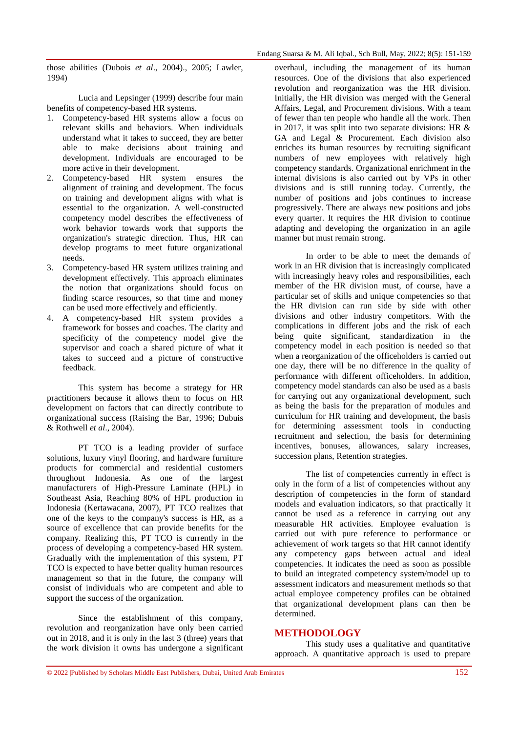those abilities (Dubois *et al*., 2004)., 2005; Lawler, 1994)

Lucia and Lepsinger (1999) describe four main benefits of competency-based HR systems.

- 1. Competency-based HR systems allow a focus on relevant skills and behaviors. When individuals understand what it takes to succeed, they are better able to make decisions about training and development. Individuals are encouraged to be more active in their development.
- 2. Competency-based HR system ensures the alignment of training and development. The focus on training and development aligns with what is essential to the organization. A well-constructed competency model describes the effectiveness of work behavior towards work that supports the organization's strategic direction. Thus, HR can develop programs to meet future organizational needs.
- 3. Competency-based HR system utilizes training and development effectively. This approach eliminates the notion that organizations should focus on finding scarce resources, so that time and money can be used more effectively and efficiently.
- 4. A competency-based HR system provides a framework for bosses and coaches. The clarity and specificity of the competency model give the supervisor and coach a shared picture of what it takes to succeed and a picture of constructive feedback.

This system has become a strategy for HR practitioners because it allows them to focus on HR development on factors that can directly contribute to organizational success (Raising the Bar, 1996; Dubuis & Rothwell *et al*., 2004).

PT TCO is a leading provider of surface solutions, luxury vinyl flooring, and hardware furniture products for commercial and residential customers throughout Indonesia. As one of the largest manufacturers of High-Pressure Laminate (HPL) in Southeast Asia, Reaching 80% of HPL production in Indonesia (Kertawacana, 2007), PT TCO realizes that one of the keys to the company's success is HR, as a source of excellence that can provide benefits for the company. Realizing this, PT TCO is currently in the process of developing a competency-based HR system. Gradually with the implementation of this system, PT TCO is expected to have better quality human resources management so that in the future, the company will consist of individuals who are competent and able to support the success of the organization.

Since the establishment of this company, revolution and reorganization have only been carried out in 2018, and it is only in the last 3 (three) years that the work division it owns has undergone a significant overhaul, including the management of its human resources. One of the divisions that also experienced revolution and reorganization was the HR division. Initially, the HR division was merged with the General Affairs, Legal, and Procurement divisions. With a team of fewer than ten people who handle all the work. Then in 2017, it was split into two separate divisions: HR & GA and Legal & Procurement. Each division also enriches its human resources by recruiting significant numbers of new employees with relatively high competency standards. Organizational enrichment in the internal divisions is also carried out by VPs in other divisions and is still running today. Currently, the number of positions and jobs continues to increase progressively. There are always new positions and jobs every quarter. It requires the HR division to continue adapting and developing the organization in an agile manner but must remain strong.

In order to be able to meet the demands of work in an HR division that is increasingly complicated with increasingly heavy roles and responsibilities, each member of the HR division must, of course, have a particular set of skills and unique competencies so that the HR division can run side by side with other divisions and other industry competitors. With the complications in different jobs and the risk of each being quite significant, standardization in the competency model in each position is needed so that when a reorganization of the officeholders is carried out one day, there will be no difference in the quality of performance with different officeholders. In addition, competency model standards can also be used as a basis for carrying out any organizational development, such as being the basis for the preparation of modules and curriculum for HR training and development, the basis for determining assessment tools in conducting recruitment and selection, the basis for determining incentives, bonuses, allowances, salary increases, succession plans, Retention strategies.

The list of competencies currently in effect is only in the form of a list of competencies without any description of competencies in the form of standard models and evaluation indicators, so that practically it cannot be used as a reference in carrying out any measurable HR activities. Employee evaluation is carried out with pure reference to performance or achievement of work targets so that HR cannot identify any competency gaps between actual and ideal competencies. It indicates the need as soon as possible to build an integrated competency system/model up to assessment indicators and measurement methods so that actual employee competency profiles can be obtained that organizational development plans can then be determined.

# **METHODOLOGY**

This study uses a qualitative and quantitative approach. A quantitative approach is used to prepare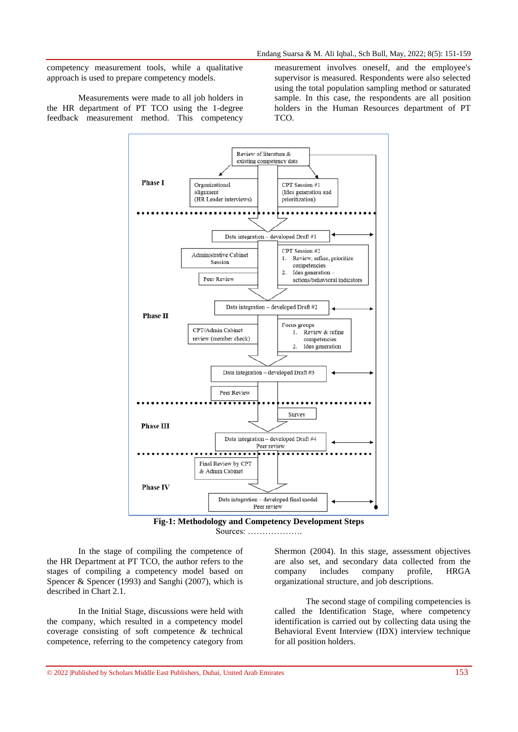competency measurement tools, while a qualitative approach is used to prepare competency models.

Measurements were made to all job holders in the HR department of PT TCO using the 1-degree feedback measurement method. This competency measurement involves oneself, and the employee's supervisor is measured. Respondents were also selected using the total population sampling method or saturated sample. In this case, the respondents are all position holders in the Human Resources department of PT TCO.



Sources: ……………….

In the stage of compiling the competence of the HR Department at PT TCO, the author refers to the stages of compiling a competency model based on Spencer & Spencer (1993) and Sanghi (2007), which is described in Chart 2.1.

In the Initial Stage, discussions were held with the company, which resulted in a competency model coverage consisting of soft competence & technical competence, referring to the competency category from Shermon (2004). In this stage, assessment objectives are also set, and secondary data collected from the company includes company profile, HRGA organizational structure, and job descriptions.

The second stage of compiling competencies is called the Identification Stage, where competency identification is carried out by collecting data using the Behavioral Event Interview (IDX) interview technique for all position holders.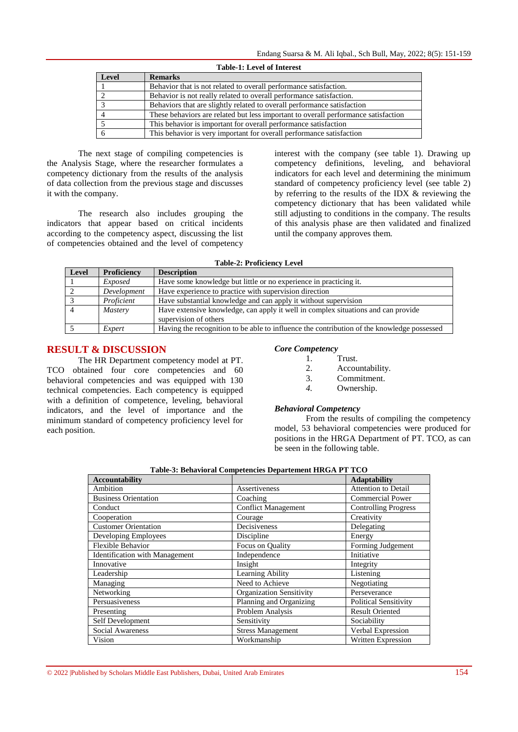| <b>Table-1: Level of Interest</b> |                                                                                    |  |
|-----------------------------------|------------------------------------------------------------------------------------|--|
| Level                             | <b>Remarks</b>                                                                     |  |
|                                   | Behavior that is not related to overall performance satisfaction.                  |  |
|                                   | Behavior is not really related to overall performance satisfaction.                |  |
|                                   | Behaviors that are slightly related to overall performance satisfaction            |  |
|                                   | These behaviors are related but less important to overall performance satisfaction |  |
|                                   | This behavior is important for overall performance satisfaction                    |  |
|                                   | This behavior is very important for overall performance satisfaction               |  |

The next stage of compiling competencies is the Analysis Stage, where the researcher formulates a competency dictionary from the results of the analysis of data collection from the previous stage and discusses it with the company.

The research also includes grouping the indicators that appear based on critical incidents according to the competency aspect, discussing the list of competencies obtained and the level of competency interest with the company (see table 1). Drawing up competency definitions, leveling, and behavioral indicators for each level and determining the minimum standard of competency proficiency level (see table 2) by referring to the results of the IDX & reviewing the competency dictionary that has been validated while still adjusting to conditions in the company. The results of this analysis phase are then validated and finalized until the company approves them.

| Level          | <b>Proficiency</b> | <b>Description</b>                                                                                         |
|----------------|--------------------|------------------------------------------------------------------------------------------------------------|
|                | Exposed            | Have some knowledge but little or no experience in practicing it.                                          |
| 2              | Development        | Have experience to practice with supervision direction                                                     |
|                | Proficient         | Have substantial knowledge and can apply it without supervision                                            |
| $\overline{4}$ | <b>Mastery</b>     | Have extensive knowledge, can apply it well in complex situations and can provide<br>supervision of others |
|                | Expert             | Having the recognition to be able to influence the contribution of the knowledge possessed                 |

# **RESULT & DISCUSSION**

The HR Department competency model at PT. TCO obtained four core competencies and 60 behavioral competencies and was equipped with 130 technical competencies. Each competency is equipped with a definition of competence, leveling, behavioral indicators, and the level of importance and the minimum standard of competency proficiency level for each position.

#### *Core Competency*

- 1. Trust.
- 2. Accountability.
- 3. Commitment.
- *4.* Ownership.

#### *Behavioral Competency*

From the results of compiling the competency model, 53 behavioral competencies were produced for positions in the HRGA Department of PT. TCO, as can be seen in the following table.

| <b>Accountability</b>          |                                 | <b>Adaptability</b>          |
|--------------------------------|---------------------------------|------------------------------|
| Ambition                       | Assertiveness                   | <b>Attention to Detail</b>   |
| <b>Business Orientation</b>    | Coaching                        | Commercial Power             |
| Conduct                        | <b>Conflict Management</b>      | <b>Controlling Progress</b>  |
| Cooperation                    | Courage                         | Creativity                   |
| <b>Customer Orientation</b>    | Decisiveness                    | Delegating                   |
| Developing Employees           | Discipline                      | Energy                       |
| Flexible Behavior              | Focus on Quality                | Forming Judgement            |
| Identification with Management | Independence                    | Initiative                   |
| Innovative                     | Insight                         | Integrity                    |
| Leadership                     | Learning Ability                | Listening                    |
| Managing                       | Need to Achieve                 | Negotiating                  |
| Networking                     | <b>Organization Sensitivity</b> | Perseverance                 |
| Persuasiveness                 | Planning and Organizing         | <b>Political Sensitivity</b> |
| Presenting                     | Problem Analysis                | <b>Result Oriented</b>       |
| Self Development               | Sensitivity                     | Sociability                  |
| <b>Social Awareness</b>        | <b>Stress Management</b>        | Verbal Expression            |
| Vision                         | Workmanship                     | Written Expression           |

**Table-3: Behavioral Competencies Departement HRGA PT TCO**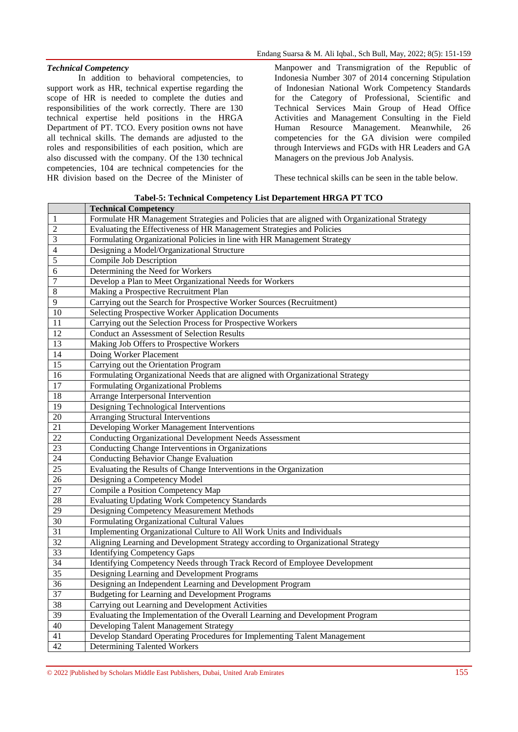#### *Technical Competency*

In addition to behavioral competencies, to support work as HR, technical expertise regarding the scope of HR is needed to complete the duties and responsibilities of the work correctly. There are 130 technical expertise held positions in the HRGA Department of PT. TCO. Every position owns not have all technical skills. The demands are adjusted to the roles and responsibilities of each position, which are also discussed with the company. Of the 130 technical competencies, 104 are technical competencies for the HR division based on the Decree of the Minister of Manpower and Transmigration of the Republic of Indonesia Number 307 of 2014 concerning Stipulation of Indonesian National Work Competency Standards for the Category of Professional, Scientific and Technical Services Main Group of Head Office Activities and Management Consulting in the Field Human Resource Management. Meanwhile, 26 competencies for the GA division were compiled through Interviews and FGDs with HR Leaders and GA Managers on the previous Job Analysis.

These technical skills can be seen in the table below.

| Tabel-5: Technical Competency List Departement HRGA PT TCO |  |  |  |  |
|------------------------------------------------------------|--|--|--|--|
|------------------------------------------------------------|--|--|--|--|

|                 | <b>Technical Competency</b>                                                                   |
|-----------------|-----------------------------------------------------------------------------------------------|
| 1               | Formulate HR Management Strategies and Policies that are aligned with Organizational Strategy |
| 2               | Evaluating the Effectiveness of HR Management Strategies and Policies                         |
| 3               | Formulating Organizational Policies in line with HR Management Strategy                       |
| $\overline{4}$  | Designing a Model/Organizational Structure                                                    |
| 5               | Compile Job Description                                                                       |
| 6               | Determining the Need for Workers                                                              |
| 7               | Develop a Plan to Meet Organizational Needs for Workers                                       |
| 8               | Making a Prospective Recruitment Plan                                                         |
| 9               | Carrying out the Search for Prospective Worker Sources (Recruitment)                          |
| $\overline{10}$ | <b>Selecting Prospective Worker Application Documents</b>                                     |
| 11              | Carrying out the Selection Process for Prospective Workers                                    |
| 12              | <b>Conduct an Assessment of Selection Results</b>                                             |
| $\overline{13}$ | Making Job Offers to Prospective Workers                                                      |
| $\overline{14}$ | Doing Worker Placement                                                                        |
| 15              | Carrying out the Orientation Program                                                          |
| $\overline{16}$ | Formulating Organizational Needs that are aligned with Organizational Strategy                |
| $\overline{17}$ | Formulating Organizational Problems                                                           |
| 18              | Arrange Interpersonal Intervention                                                            |
| 19              | Designing Technological Interventions                                                         |
| 20              | <b>Arranging Structural Interventions</b>                                                     |
| $\overline{21}$ | Developing Worker Management Interventions                                                    |
| $\overline{22}$ | <b>Conducting Organizational Development Needs Assessment</b>                                 |
| 23              | Conducting Change Interventions in Organizations                                              |
| $\overline{24}$ | Conducting Behavior Change Evaluation                                                         |
| $\overline{25}$ | Evaluating the Results of Change Interventions in the Organization                            |
| 26              | Designing a Competency Model                                                                  |
| 27              | <b>Compile a Position Competency Map</b>                                                      |
| 28              | <b>Evaluating Updating Work Competency Standards</b>                                          |
| 29              | Designing Competency Measurement Methods                                                      |
| $\overline{30}$ | Formulating Organizational Cultural Values                                                    |
| $\overline{31}$ | Implementing Organizational Culture to All Work Units and Individuals                         |
| $\overline{32}$ | Aligning Learning and Development Strategy according to Organizational Strategy               |
| 33              | <b>Identifying Competency Gaps</b>                                                            |
| $\overline{34}$ | Identifying Competency Needs through Track Record of Employee Development                     |
| $\overline{35}$ | Designing Learning and Development Programs                                                   |
| 36              | Designing an Independent Learning and Development Program                                     |
| 37              | <b>Budgeting for Learning and Development Programs</b>                                        |
| 38              | Carrying out Learning and Development Activities                                              |
| $\overline{39}$ | Evaluating the Implementation of the Overall Learning and Development Program                 |
| 40              | Developing Talent Management Strategy                                                         |
| 41              | Develop Standard Operating Procedures for Implementing Talent Management                      |
| 42              | <b>Determining Talented Workers</b>                                                           |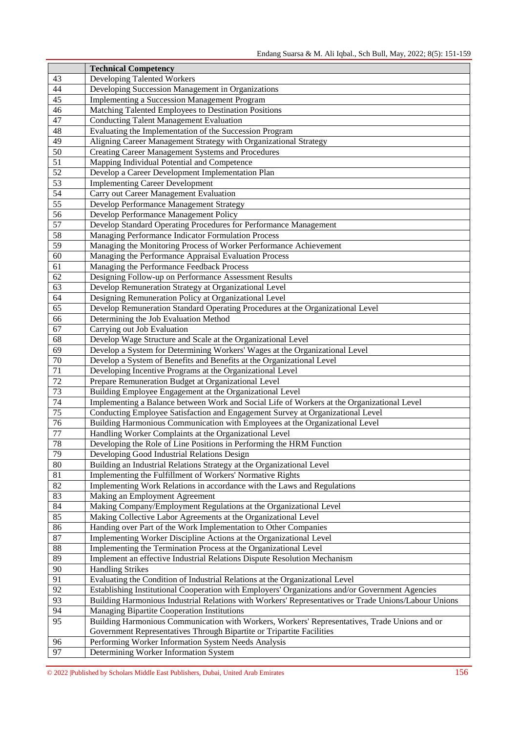|                 | <b>Technical Competency</b>                                                                          |
|-----------------|------------------------------------------------------------------------------------------------------|
| 43              | Developing Talented Workers                                                                          |
| 44              | Developing Succession Management in Organizations                                                    |
| 45              | Implementing a Succession Management Program                                                         |
| 46              | Matching Talented Employees to Destination Positions                                                 |
| 47              | <b>Conducting Talent Management Evaluation</b>                                                       |
| 48              | Evaluating the Implementation of the Succession Program                                              |
| 49              | Aligning Career Management Strategy with Organizational Strategy                                     |
| 50              | <b>Creating Career Management Systems and Procedures</b>                                             |
| $\overline{51}$ | Mapping Individual Potential and Competence                                                          |
| $\overline{52}$ | Develop a Career Development Implementation Plan                                                     |
| 53              | <b>Implementing Career Development</b>                                                               |
| $\overline{54}$ | Carry out Career Management Evaluation                                                               |
| $\overline{55}$ | Develop Performance Management Strategy                                                              |
| 56              | Develop Performance Management Policy                                                                |
| $\overline{57}$ | Develop Standard Operating Procedures for Performance Management                                     |
| $\overline{58}$ | Managing Performance Indicator Formulation Process                                                   |
| $\overline{59}$ | Managing the Monitoring Process of Worker Performance Achievement                                    |
| 60              | Managing the Performance Appraisal Evaluation Process                                                |
| 61              | Managing the Performance Feedback Process                                                            |
| 62              | Designing Follow-up on Performance Assessment Results                                                |
| 63              | Develop Remuneration Strategy at Organizational Level                                                |
| 64              | Designing Remuneration Policy at Organizational Level                                                |
| $\overline{65}$ | Develop Remuneration Standard Operating Procedures at the Organizational Level                       |
| 66              | Determining the Job Evaluation Method                                                                |
| 67              | Carrying out Job Evaluation                                                                          |
| $\overline{68}$ | Develop Wage Structure and Scale at the Organizational Level                                         |
| 69              | Develop a System for Determining Workers' Wages at the Organizational Level                          |
| 70              | Develop a System of Benefits and Benefits at the Organizational Level                                |
| 71              | Developing Incentive Programs at the Organizational Level                                            |
| 72              | Prepare Remuneration Budget at Organizational Level                                                  |
| 73              | Building Employee Engagement at the Organizational Level                                             |
| 74              | Implementing a Balance between Work and Social Life of Workers at the Organizational Level           |
| $\overline{75}$ | Conducting Employee Satisfaction and Engagement Survey at Organizational Level                       |
| 76              | Building Harmonious Communication with Employees at the Organizational Level                         |
| 77              | Handling Worker Complaints at the Organizational Level                                               |
| 78              | Developing the Role of Line Positions in Performing the HRM Function                                 |
| 79              | Developing Good Industrial Relations Design                                                          |
| 80              | Building an Industrial Relations Strategy at the Organizational Level                                |
| 81              | Implementing the Fulfillment of Workers' Normative Rights                                            |
| $\overline{82}$ | Implementing Work Relations in accordance with the Laws and Regulations                              |
| 83              | Making an Employment Agreement                                                                       |
| 84              | Making Company/Employment Regulations at the Organizational Level                                    |
| 85              | Making Collective Labor Agreements at the Organizational Level                                       |
| 86              | Handing over Part of the Work Implementation to Other Companies                                      |
| 87              | Implementing Worker Discipline Actions at the Organizational Level                                   |
| $\overline{88}$ | Implementing the Termination Process at the Organizational Level                                     |
| 89              | Implement an effective Industrial Relations Dispute Resolution Mechanism                             |
| $\overline{90}$ | <b>Handling Strikes</b>                                                                              |
| $\overline{91}$ | Evaluating the Condition of Industrial Relations at the Organizational Level                         |
| 92              | Establishing Institutional Cooperation with Employers' Organizations and/or Government Agencies      |
| 93              | Building Harmonious Industrial Relations with Workers' Representatives or Trade Unions/Labour Unions |
| $\overline{94}$ | Managing Bipartite Cooperation Institutions                                                          |
| $\overline{95}$ | Building Harmonious Communication with Workers, Workers' Representatives, Trade Unions and or        |
|                 | Government Representatives Through Bipartite or Tripartite Facilities                                |
| 96              | Performing Worker Information System Needs Analysis                                                  |
| 97              | Determining Worker Information System                                                                |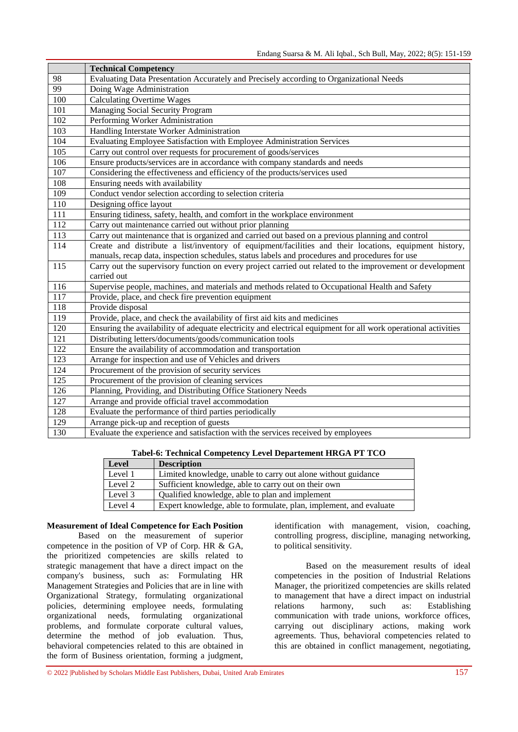|                  | <b>Technical Competency</b>                                                                                    |
|------------------|----------------------------------------------------------------------------------------------------------------|
| 98               | Evaluating Data Presentation Accurately and Precisely according to Organizational Needs                        |
| 99               | Doing Wage Administration                                                                                      |
| 100              | <b>Calculating Overtime Wages</b>                                                                              |
| 101              | Managing Social Security Program                                                                               |
| 102              | Performing Worker Administration                                                                               |
| 103              | Handling Interstate Worker Administration                                                                      |
| 104              | Evaluating Employee Satisfaction with Employee Administration Services                                         |
| 105              | Carry out control over requests for procurement of goods/services                                              |
| 106              | Ensure products/services are in accordance with company standards and needs                                    |
| 107              | Considering the effectiveness and efficiency of the products/services used                                     |
| 108              | Ensuring needs with availability                                                                               |
| 109              | Conduct vendor selection according to selection criteria                                                       |
| 110              | Designing office layout                                                                                        |
| 111              | Ensuring tidiness, safety, health, and comfort in the workplace environment                                    |
| 112              | Carry out maintenance carried out without prior planning                                                       |
| 113              | Carry out maintenance that is organized and carried out based on a previous planning and control               |
| 114              | Create and distribute a list/inventory of equipment/facilities and their locations, equipment history,         |
|                  | manuals, recap data, inspection schedules, status labels and procedures and procedures for use                 |
| 115              | Carry out the supervisory function on every project carried out related to the improvement or development      |
|                  | carried out                                                                                                    |
| 116              | Supervise people, machines, and materials and methods related to Occupational Health and Safety                |
| $\overline{117}$ | Provide, place, and check fire prevention equipment                                                            |
| 118              | Provide disposal                                                                                               |
| $\overline{119}$ | Provide, place, and check the availability of first aid kits and medicines                                     |
| $\overline{120}$ | Ensuring the availability of adequate electricity and electrical equipment for all work operational activities |
| 121              | Distributing letters/documents/goods/communication tools                                                       |
| 122              | Ensure the availability of accommodation and transportation                                                    |
| 123              | Arrange for inspection and use of Vehicles and drivers                                                         |
| 124              | Procurement of the provision of security services                                                              |
| 125              | Procurement of the provision of cleaning services                                                              |
| 126              | Planning, Providing, and Distributing Office Stationery Needs                                                  |
| 127              | Arrange and provide official travel accommodation                                                              |
| 128              | Evaluate the performance of third parties periodically                                                         |
| 129              | Arrange pick-up and reception of guests                                                                        |
| 130              | Evaluate the experience and satisfaction with the services received by employees                               |

**Tabel-6: Technical Competency Level Departement HRGA PT TCO**

| Level   | <b>Description</b>                                                 |
|---------|--------------------------------------------------------------------|
| Level 1 | Limited knowledge, unable to carry out alone without guidance      |
| Level 2 | Sufficient knowledge, able to carry out on their own               |
| Level 3 | Qualified knowledge, able to plan and implement                    |
| Level 4 | Expert knowledge, able to formulate, plan, implement, and evaluate |

#### **Measurement of Ideal Competence for Each Position**

Based on the measurement of superior competence in the position of VP of Corp. HR & GA, the prioritized competencies are skills related to strategic management that have a direct impact on the company's business, such as: Formulating HR Management Strategies and Policies that are in line with Organizational Strategy, formulating organizational policies, determining employee needs, formulating organizational needs, formulating organizational problems, and formulate corporate cultural values, determine the method of job evaluation. Thus, behavioral competencies related to this are obtained in the form of Business orientation, forming a judgment,

identification with management, vision, coaching, controlling progress, discipline, managing networking, to political sensitivity.

Based on the measurement results of ideal competencies in the position of Industrial Relations Manager, the prioritized competencies are skills related to management that have a direct impact on industrial relations harmony, such as: Establishing communication with trade unions, workforce offices, carrying out disciplinary actions, making work agreements. Thus, behavioral competencies related to this are obtained in conflict management, negotiating,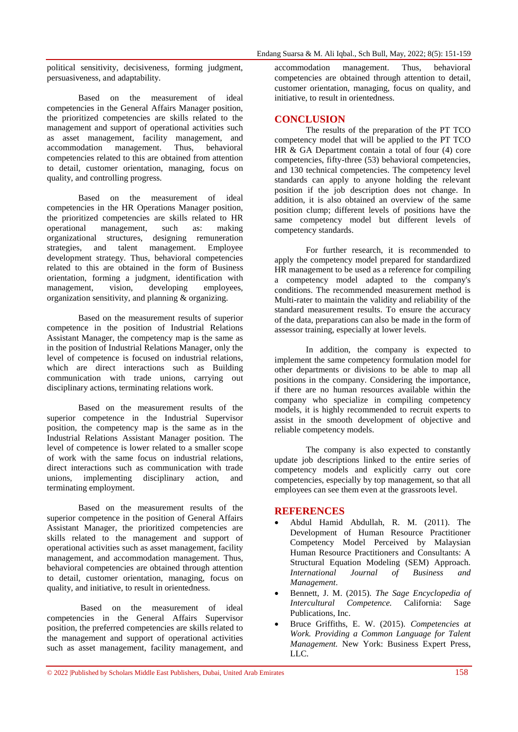political sensitivity, decisiveness, forming judgment, persuasiveness, and adaptability.

Based on the measurement of ideal competencies in the General Affairs Manager position, the prioritized competencies are skills related to the management and support of operational activities such as asset management, facility management, and<br>accommodation management. Thus, behavioral accommodation management. Thus, behavioral competencies related to this are obtained from attention to detail, customer orientation, managing, focus on quality, and controlling progress.

Based on the measurement of ideal competencies in the HR Operations Manager position, the prioritized competencies are skills related to HR operational management, such as: making organizational structures, designing remuneration strategies, and talent management. Employee development strategy. Thus, behavioral competencies related to this are obtained in the form of Business orientation, forming a judgment, identification with management, vision, developing employees, organization sensitivity, and planning & organizing.

Based on the measurement results of superior competence in the position of Industrial Relations Assistant Manager, the competency map is the same as in the position of Industrial Relations Manager, only the level of competence is focused on industrial relations, which are direct interactions such as Building communication with trade unions, carrying out disciplinary actions, terminating relations work.

Based on the measurement results of the superior competence in the Industrial Supervisor position, the competency map is the same as in the Industrial Relations Assistant Manager position. The level of competence is lower related to a smaller scope of work with the same focus on industrial relations, direct interactions such as communication with trade unions, implementing disciplinary action, and terminating employment.

Based on the measurement results of the superior competence in the position of General Affairs Assistant Manager, the prioritized competencies are skills related to the management and support of operational activities such as asset management, facility management, and accommodation management. Thus, behavioral competencies are obtained through attention to detail, customer orientation, managing, focus on quality, and initiative, to result in orientedness.

Based on the measurement of ideal competencies in the General Affairs Supervisor position, the preferred competencies are skills related to the management and support of operational activities such as asset management, facility management, and accommodation management. Thus, behavioral competencies are obtained through attention to detail, customer orientation, managing, focus on quality, and initiative, to result in orientedness.

# **CONCLUSION**

The results of the preparation of the PT TCO competency model that will be applied to the PT TCO HR & GA Department contain a total of four (4) core competencies, fifty-three (53) behavioral competencies, and 130 technical competencies. The competency level standards can apply to anyone holding the relevant position if the job description does not change. In addition, it is also obtained an overview of the same position clump; different levels of positions have the same competency model but different levels of competency standards.

For further research, it is recommended to apply the competency model prepared for standardized HR management to be used as a reference for compiling a competency model adapted to the company's conditions. The recommended measurement method is Multi-rater to maintain the validity and reliability of the standard measurement results. To ensure the accuracy of the data, preparations can also be made in the form of assessor training, especially at lower levels.

In addition, the company is expected to implement the same competency formulation model for other departments or divisions to be able to map all positions in the company. Considering the importance, if there are no human resources available within the company who specialize in compiling competency models, it is highly recommended to recruit experts to assist in the smooth development of objective and reliable competency models.

The company is also expected to constantly update job descriptions linked to the entire series of competency models and explicitly carry out core competencies, especially by top management, so that all employees can see them even at the grassroots level.

# **REFERENCES**

- Abdul Hamid Abdullah, R. M. (2011). The Development of Human Resource Practitioner Competency Model Perceived by Malaysian Human Resource Practitioners and Consultants: A Structural Equation Modeling (SEM) Approach. *International Journal of Business and Management*.
- Bennett, J. M. (2015). *The Sage Encyclopedia of Intercultural Competence.* California: Sage Publications, Inc.
- Bruce Griffiths, E. W. (2015). *Competencies at Work. Providing a Common Language for Talent Management.* New York: Business Expert Press, LLC.